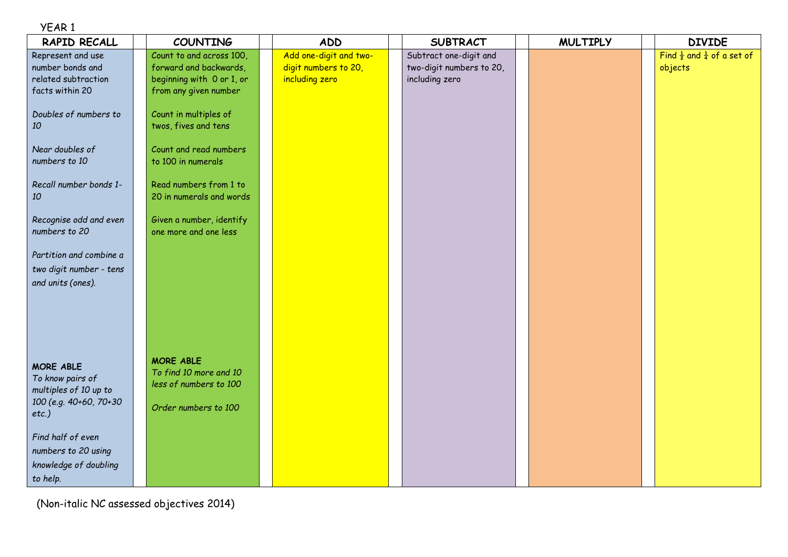## YEAR 1

| RAPID RECALL                                                                                        | <b>COUNTING</b>                                                                                          | <b>ADD</b>                                                       | <b>SUBTRACT</b>                                                      | <b>MULTIPLY</b> | <b>DIVIDE</b>                                               |
|-----------------------------------------------------------------------------------------------------|----------------------------------------------------------------------------------------------------------|------------------------------------------------------------------|----------------------------------------------------------------------|-----------------|-------------------------------------------------------------|
| Represent and use<br>number bonds and<br>related subtraction<br>facts within 20                     | Count to and across 100,<br>forward and backwards,<br>beginning with 0 or 1, or<br>from any given number | Add one-digit and two-<br>digit numbers to 20,<br>including zero | Subtract one-digit and<br>two-digit numbers to 20,<br>including zero |                 | Find $\frac{1}{2}$ and $\frac{1}{4}$ of a set of<br>objects |
| Doubles of numbers to<br>10                                                                         | Count in multiples of<br>twos, fives and tens                                                            |                                                                  |                                                                      |                 |                                                             |
| Near doubles of<br>numbers to 10                                                                    | Count and read numbers<br>to 100 in numerals                                                             |                                                                  |                                                                      |                 |                                                             |
| Recall number bonds 1-<br>10                                                                        | Read numbers from 1 to<br>20 in numerals and words                                                       |                                                                  |                                                                      |                 |                                                             |
| Recognise odd and even<br>numbers to 20                                                             | Given a number, identify<br>one more and one less                                                        |                                                                  |                                                                      |                 |                                                             |
| Partition and combine a<br>two digit number - tens<br>and units (ones).                             |                                                                                                          |                                                                  |                                                                      |                 |                                                             |
| <b>MORE ABLE</b><br>To know pairs of<br>multiples of 10 up to<br>100 (e.g. 40+60, 70+30<br>$etc.$ ) | <b>MORE ABLE</b><br>To find 10 more and 10<br>less of numbers to 100<br>Order numbers to 100             |                                                                  |                                                                      |                 |                                                             |
| Find half of even<br>numbers to 20 using<br>knowledge of doubling<br>to help.                       |                                                                                                          |                                                                  |                                                                      |                 |                                                             |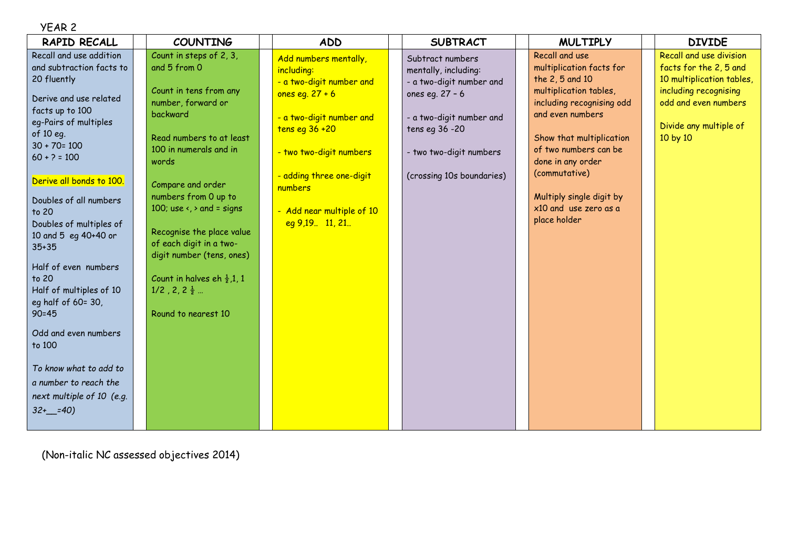| ١R<br>A |  |
|---------|--|
|---------|--|

| RAPID RECALL                                                                                                                                                                                                                                                                                                                                                                                                                                                                                                                                              | <b>COUNTING</b>                                                                                                                                                                                                                                                                                                                                                                                                                                          | <b>ADD</b>                                                                                                                                                                                                                                          | <b>SUBTRACT</b>                                                                                                                                                                                | <b>MULTIPLY</b>                                                                                                                                                                                                                                                                                          | <b>DIVIDE</b>                                                                                                                                                         |
|-----------------------------------------------------------------------------------------------------------------------------------------------------------------------------------------------------------------------------------------------------------------------------------------------------------------------------------------------------------------------------------------------------------------------------------------------------------------------------------------------------------------------------------------------------------|----------------------------------------------------------------------------------------------------------------------------------------------------------------------------------------------------------------------------------------------------------------------------------------------------------------------------------------------------------------------------------------------------------------------------------------------------------|-----------------------------------------------------------------------------------------------------------------------------------------------------------------------------------------------------------------------------------------------------|------------------------------------------------------------------------------------------------------------------------------------------------------------------------------------------------|----------------------------------------------------------------------------------------------------------------------------------------------------------------------------------------------------------------------------------------------------------------------------------------------------------|-----------------------------------------------------------------------------------------------------------------------------------------------------------------------|
| Recall and use addition<br>and subtraction facts to<br>20 fluently<br>Derive and use related<br>facts up to 100<br>eg-Pairs of multiples<br>of 10 eg.<br>$30 + 70 = 100$<br>$60 + ? = 100$<br>Derive all bonds to 100.<br>Doubles of all numbers<br>to 20<br>Doubles of multiples of<br>10 and 5 eq 40+40 or<br>$35 + 35$<br>Half of even numbers<br>to 20<br>Half of multiples of 10<br>eg half of 60= 30,<br>$90 = 45$<br>Odd and even numbers<br>to 100<br>To know what to add to<br>a number to reach the<br>next multiple of 10 (e.g.<br>$32+$ = 40) | Count in steps of 2, 3,<br>and 5 from 0<br>Count in tens from any<br>number, forward or<br>backward<br>Read numbers to at least<br>100 in numerals and in<br>words<br>Compare and order<br>numbers from 0 up to<br>100; use $\left\langle \right\rangle$ and = signs<br>Recognise the place value<br>of each digit in a two-<br>digit number (tens, ones)<br>Count in halves eh $\frac{1}{2}$ , 1, 1<br>$1/2$ , $2, 2\frac{1}{2}$<br>Round to nearest 10 | Add numbers mentally,<br>including:<br>- a two-digit number and<br>ones eq. $27 + 6$<br>- a two-digit number and<br>tens eq $36+20$<br>- two two-digit numbers<br>- adding three one-digit<br>numbers<br>- Add near multiple of 10<br>eq9,19.11,21. | Subtract numbers<br>mentally, including:<br>- a two-digit number and<br>ones eg. 27 - 6<br>- a two-digit number and<br>tens eg 36 - 20<br>- two two-digit numbers<br>(crossing 10s boundaries) | Recall and use<br>multiplication facts for<br>the 2, 5 and 10<br>multiplication tables,<br>including recognising odd<br>and even numbers<br>Show that multiplication<br>of two numbers can be<br>done in any order<br>(commutative)<br>Multiply single digit by<br>x10 and use zero as a<br>place holder | Recall and use division<br>facts for the 2, 5 and<br>10 multiplication tables,<br>including recognising<br>odd and even numbers<br>Divide any multiple of<br>10 by 10 |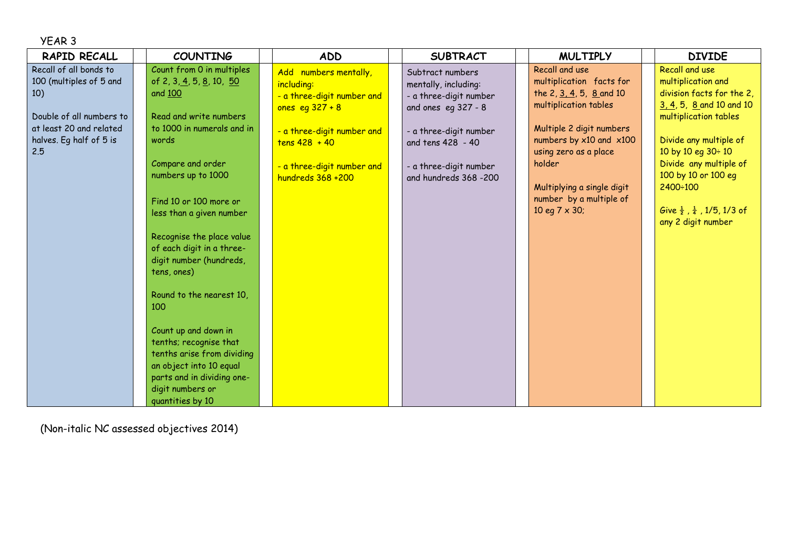| YEAR 3                                                                                                                                            |                                                                                                                                                                                                                                                                                                                                                                                                                                                                                                                                                            |                                                                                                                                                                                            |                                                                                                                                                                                             |                                                                                                                                                                                                                                                                                 |                                                                                                                                                                                                                                                                                                                      |
|---------------------------------------------------------------------------------------------------------------------------------------------------|------------------------------------------------------------------------------------------------------------------------------------------------------------------------------------------------------------------------------------------------------------------------------------------------------------------------------------------------------------------------------------------------------------------------------------------------------------------------------------------------------------------------------------------------------------|--------------------------------------------------------------------------------------------------------------------------------------------------------------------------------------------|---------------------------------------------------------------------------------------------------------------------------------------------------------------------------------------------|---------------------------------------------------------------------------------------------------------------------------------------------------------------------------------------------------------------------------------------------------------------------------------|----------------------------------------------------------------------------------------------------------------------------------------------------------------------------------------------------------------------------------------------------------------------------------------------------------------------|
| RAPID RECALL                                                                                                                                      | <b>COUNTING</b>                                                                                                                                                                                                                                                                                                                                                                                                                                                                                                                                            | <b>ADD</b>                                                                                                                                                                                 | <b>SUBTRACT</b>                                                                                                                                                                             | <b>MULTIPLY</b>                                                                                                                                                                                                                                                                 | <b>DIVIDE</b>                                                                                                                                                                                                                                                                                                        |
| Recall of all bonds to<br>100 (multiples of 5 and<br>10)<br>Double of all numbers to<br>at least 20 and related<br>halves. Eq half of 5 is<br>2.5 | Count from 0 in multiples<br>of 2, 3, 4, 5, 8, 10, 50<br>and 100<br>Read and write numbers<br>to 1000 in numerals and in<br>words<br>Compare and order<br>numbers up to 1000<br>Find 10 or 100 more or<br>less than a given number<br>Recognise the place value<br>of each digit in a three-<br>digit number (hundreds,<br>tens, ones)<br>Round to the nearest 10,<br>100<br>Count up and down in<br>tenths; recognise that<br>tenths arise from dividing<br>an object into 10 equal<br>parts and in dividing one-<br>digit numbers or<br>quantities by 10 | Add numbers mentally,<br>including:<br>- a three-digit number and<br>ones eq $327 + 8$<br>- a three-digit number and<br>$tens 428 + 40$<br>- a three-digit number and<br>hundreds 368 +200 | Subtract numbers<br>mentally, including:<br>- a three-digit number<br>and ones eg 327 - 8<br>- a three-digit number<br>and tens 428 - 40<br>- a three-digit number<br>and hundreds 368 -200 | Recall and use<br>multiplication facts for<br>the 2, 3, 4, 5, 8 and 10<br>multiplication tables<br>Multiple 2 digit numbers<br>numbers by $x10$ and $x100$<br>using zero as a place<br>holder<br>Multiplying a single digit<br>number by a multiple of<br>10 eq $7 \times 30$ ; | <b>Recall and use</b><br>multiplication and<br>division facts for the 2,<br>3, 4, 5, 8 and 10 and 10<br>multiplication tables<br>Divide any multiple of<br>10 by 10 eg 30÷ 10<br>Divide any multiple of<br>100 by 10 or 100 eq<br>2400÷100<br>Give $\frac{1}{2}$ , $\frac{1}{4}$ , 1/5, 1/3 of<br>any 2 digit number |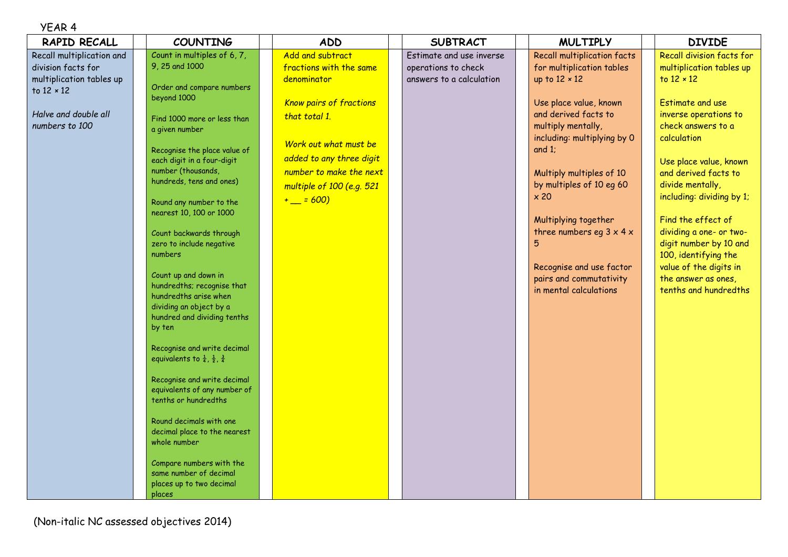## YEAR 4

|                                                                                                                                                            | <b>DIVIDE</b>             |
|------------------------------------------------------------------------------------------------------------------------------------------------------------|---------------------------|
| Count in multiples of 6, 7,<br>Add and subtract<br><b>Recall multiplication facts</b><br>Recall multiplication and<br>Estimate and use inverse             | Recall division facts for |
| 9, 25 and 1000<br>fractions with the same<br>division facts for<br>for multiplication tables<br>operations to check                                        | multiplication tables up  |
| multiplication tables up<br>denominator<br>answers to a calculation<br>up to $12 \times 12$<br>to $12 \times 12$<br>Order and compare numbers              |                           |
| to 12 × 12<br>beyond 1000                                                                                                                                  |                           |
| <b>Estimate and use</b><br><b>Know pairs of fractions</b><br>Use place value, known                                                                        |                           |
| and derived facts to<br>Halve and double all<br>that total 1.<br>Find 1000 more or less than<br>numbers to 100<br>multiply mentally,<br>check answers to a | inverse operations to     |
| a given number<br>calculation<br>including: multiplying by 0                                                                                               |                           |
| Work out what must be<br>and $1$ :<br>Recognise the place value of                                                                                         |                           |
| added to any three digit<br>each digit in a four-digit                                                                                                     | Use place value, known    |
| number (thousands,<br>number to make the next<br>Multiply multiples of 10                                                                                  | and derived facts to      |
| hundreds, tens and ones)<br>divide mentally,<br>by multiples of 10 eg 60<br>multiple of 100 (e.g. 521                                                      |                           |
| $\times 20$<br>$+$ = 600)<br>Round any number to the                                                                                                       | including: dividing by 1; |
| nearest 10, 100 or 1000                                                                                                                                    |                           |
| Find the effect of<br>Multiplying together                                                                                                                 |                           |
| three numbers eg $3 \times 4 \times$<br>Count backwards through                                                                                            | dividing a one- or two-   |
| zero to include negative                                                                                                                                   | digit number by 10 and    |
| numbers<br>100, identifying the                                                                                                                            |                           |
| Recognise and use factor<br>Count up and down in<br>pairs and commutativity<br>the answer as ones,                                                         | value of the digits in    |
| hundredths; recognise that<br>in mental calculations                                                                                                       | tenths and hundredths     |
| hundredths arise when                                                                                                                                      |                           |
| dividing an object by a<br>hundred and dividing tenths                                                                                                     |                           |
| by ten                                                                                                                                                     |                           |
|                                                                                                                                                            |                           |
| Recognise and write decimal                                                                                                                                |                           |
| equivalents to $\frac{1}{4}$ , $\frac{1}{2}$ , $\frac{3}{4}$                                                                                               |                           |
| Recognise and write decimal                                                                                                                                |                           |
| equivalents of any number of                                                                                                                               |                           |
| tenths or hundredths                                                                                                                                       |                           |
|                                                                                                                                                            |                           |
| Round decimals with one<br>decimal place to the nearest                                                                                                    |                           |
| whole number                                                                                                                                               |                           |
|                                                                                                                                                            |                           |
| Compare numbers with the                                                                                                                                   |                           |
| same number of decimal                                                                                                                                     |                           |
| places up to two decimal<br>places                                                                                                                         |                           |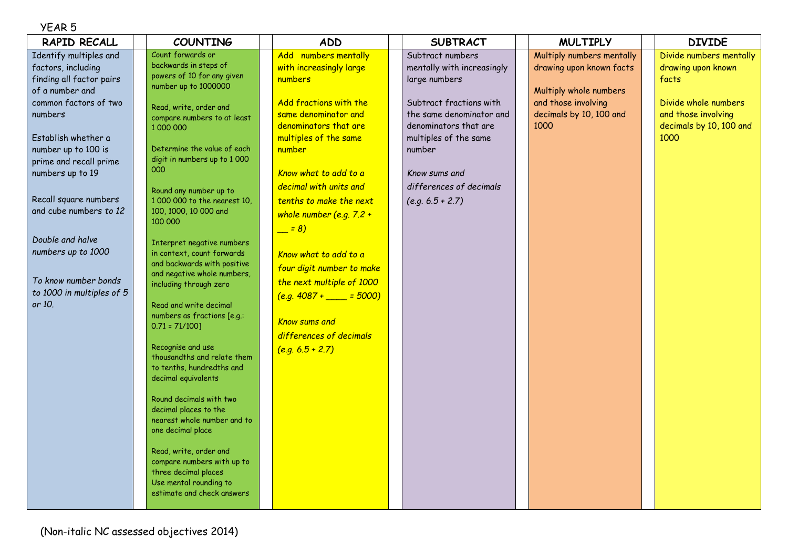## YEAR 5

| RAPID RECALL                                                                                                                                                                                                                                                                                                                                                                            | <b>COUNTING</b>                                                                                                                                                                                                                                                                                                                                                                                                                                                                                                                                                                                                                                                                                                                        | <b>ADD</b>                                                                                                                                                                                                                                                                                                                                                                                                                                                                                 | <b>SUBTRACT</b>                                                                                                                                                                                                                                      | <b>MULTIPLY</b>                                                                                                                           | <b>DIVIDE</b>                                                                                                                            |
|-----------------------------------------------------------------------------------------------------------------------------------------------------------------------------------------------------------------------------------------------------------------------------------------------------------------------------------------------------------------------------------------|----------------------------------------------------------------------------------------------------------------------------------------------------------------------------------------------------------------------------------------------------------------------------------------------------------------------------------------------------------------------------------------------------------------------------------------------------------------------------------------------------------------------------------------------------------------------------------------------------------------------------------------------------------------------------------------------------------------------------------------|--------------------------------------------------------------------------------------------------------------------------------------------------------------------------------------------------------------------------------------------------------------------------------------------------------------------------------------------------------------------------------------------------------------------------------------------------------------------------------------------|------------------------------------------------------------------------------------------------------------------------------------------------------------------------------------------------------------------------------------------------------|-------------------------------------------------------------------------------------------------------------------------------------------|------------------------------------------------------------------------------------------------------------------------------------------|
| Identify multiples and<br>factors, including<br>finding all factor pairs<br>of a number and<br>common factors of two<br>numbers<br>Establish whether a<br>number up to 100 is<br>prime and recall prime<br>numbers up to 19<br>Recall square numbers<br>and cube numbers to 12<br>Double and halve<br>numbers up to 1000<br>To know number bonds<br>to 1000 in multiples of 5<br>or 10. | Count forwards or<br>backwards in steps of<br>powers of 10 for any given<br>number up to 1000000<br>Read, write, order and<br>compare numbers to at least<br>1000000<br>Determine the value of each<br>digit in numbers up to 1 000<br>000<br>Round any number up to<br>1 000 000 to the nearest 10,<br>100, 1000, 10 000 and<br>100 000<br>Interpret negative numbers<br>in context, count forwards<br>and backwards with positive<br>and negative whole numbers,<br>including through zero<br>Read and write decimal<br>numbers as fractions [e.g.:<br>$0.71 = 71/100$ ]<br>Recognise and use<br>thousandths and relate them<br>to tenths, hundredths and<br>decimal equivalents<br>Round decimals with two<br>decimal places to the | Add numbers mentally<br>with increasingly large<br>numbers<br>Add fractions with the<br>same denominator and<br>denominators that are<br>multiples of the same<br>number<br>Know what to add to a<br>decimal with units and<br>tenths to make the next<br>whole number (e.g. $7.2 +$<br>$= 8)$<br>Know what to add to a<br>four digit number to make<br>the next multiple of 1000<br>$(e.g. 4087 +$ _____ = 5000)<br><b>Know sums and</b><br>differences of decimals<br>$(e.g. 6.5 + 2.7)$ | Subtract numbers<br>mentally with increasingly<br>large numbers<br>Subtract fractions with<br>the same denominator and<br>denominators that are<br>multiples of the same<br>number<br>Know sums and<br>differences of decimals<br>$(e.g. 6.5 + 2.7)$ | Multiply numbers mentally<br>drawing upon known facts<br>Multiply whole numbers<br>and those involving<br>decimals by 10, 100 and<br>1000 | Divide numbers mentally<br>drawing upon known<br>facts<br>Divide whole numbers<br>and those involving<br>decimals by 10, 100 and<br>1000 |
|                                                                                                                                                                                                                                                                                                                                                                                         | nearest whole number and to<br>one decimal place<br>Read, write, order and<br>compare numbers with up to<br>three decimal places<br>Use mental rounding to<br>estimate and check answers                                                                                                                                                                                                                                                                                                                                                                                                                                                                                                                                               |                                                                                                                                                                                                                                                                                                                                                                                                                                                                                            |                                                                                                                                                                                                                                                      |                                                                                                                                           |                                                                                                                                          |